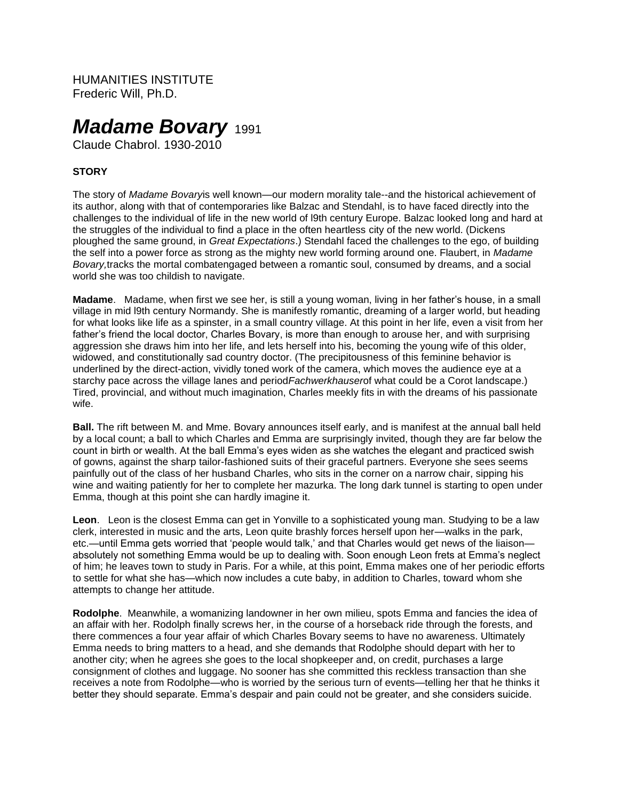HUMANITIES INSTITUTE Frederic Will, Ph.D.

# *Madame Bovary* 1991

Claude Chabrol. 1930-2010

## **STORY**

The story of *Madame Bovary*is well known—our modern morality tale--and the historical achievement of its author, along with that of contemporaries like Balzac and Stendahl, is to have faced directly into the challenges to the individual of life in the new world of l9th century Europe. Balzac looked long and hard at the struggles of the individual to find a place in the often heartless city of the new world. (Dickens ploughed the same ground, in *Great Expectations*.) Stendahl faced the challenges to the ego, of building the self into a power force as strong as the mighty new world forming around one. Flaubert, in *Madame Bovary,*tracks the mortal combatengaged between a romantic soul, consumed by dreams, and a social world she was too childish to navigate.

**Madame**. Madame, when first we see her, is still a young woman, living in her father's house, in a small village in mid l9th century Normandy. She is manifestly romantic, dreaming of a larger world, but heading for what looks like life as a spinster, in a small country village. At this point in her life, even a visit from her father's friend the local doctor, Charles Bovary, is more than enough to arouse her, and with surprising aggression she draws him into her life, and lets herself into his, becoming the young wife of this older, widowed, and constitutionally sad country doctor. (The precipitousness of this feminine behavior is underlined by the direct-action, vividly toned work of the camera, which moves the audience eye at a starchy pace across the village lanes and period*Fachwerkhauser*of what could be a Corot landscape.) Tired, provincial, and without much imagination, Charles meekly fits in with the dreams of his passionate wife.

**Ball.** The rift between M. and Mme. Bovary announces itself early, and is manifest at the annual ball held by a local count; a ball to which Charles and Emma are surprisingly invited, though they are far below the count in birth or wealth. At the ball Emma's eyes widen as she watches the elegant and practiced swish of gowns, against the sharp tailor-fashioned suits of their graceful partners. Everyone she sees seems painfully out of the class of her husband Charles, who sits in the corner on a narrow chair, sipping his wine and waiting patiently for her to complete her mazurka. The long dark tunnel is starting to open under Emma, though at this point she can hardly imagine it.

**Leon**. Leon is the closest Emma can get in Yonville to a sophisticated young man. Studying to be a law clerk, interested in music and the arts, Leon quite brashly forces herself upon her—walks in the park, etc.—until Emma gets worried that 'people would talk,' and that Charles would get news of the liaison absolutely not something Emma would be up to dealing with. Soon enough Leon frets at Emma's neglect of him; he leaves town to study in Paris. For a while, at this point, Emma makes one of her periodic efforts to settle for what she has—which now includes a cute baby, in addition to Charles, toward whom she attempts to change her attitude.

**Rodolphe**. Meanwhile, a womanizing landowner in her own milieu, spots Emma and fancies the idea of an affair with her. Rodolph finally screws her, in the course of a horseback ride through the forests, and there commences a four year affair of which Charles Bovary seems to have no awareness. Ultimately Emma needs to bring matters to a head, and she demands that Rodolphe should depart with her to another city; when he agrees she goes to the local shopkeeper and, on credit, purchases a large consignment of clothes and luggage. No sooner has she committed this reckless transaction than she receives a note from Rodolphe—who is worried by the serious turn of events—telling her that he thinks it better they should separate. Emma's despair and pain could not be greater, and she considers suicide.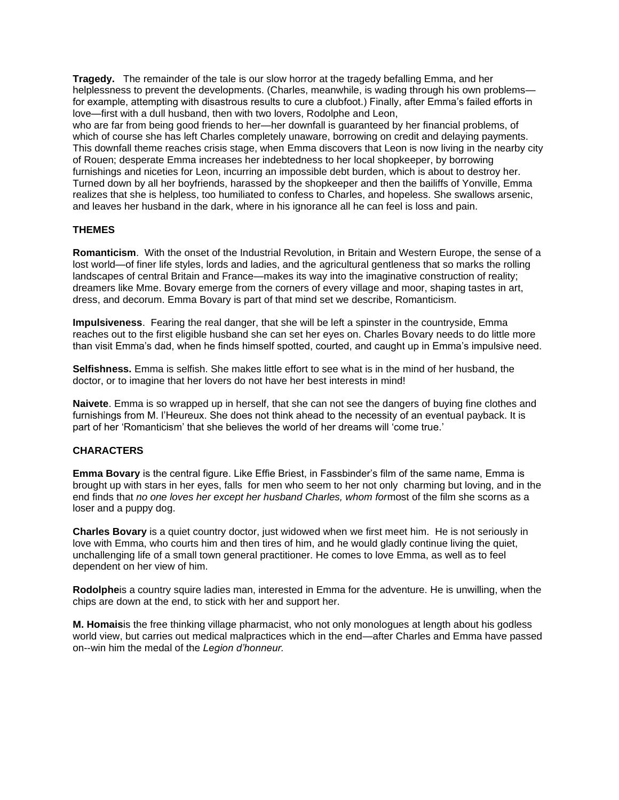**Tragedy.** The remainder of the tale is our slow horror at the tragedy befalling Emma, and her helplessness to prevent the developments. (Charles, meanwhile, is wading through his own problems for example, attempting with disastrous results to cure a clubfoot.) Finally, after Emma's failed efforts in love—first with a dull husband, then with two lovers, Rodolphe and Leon,

who are far from being good friends to her—her downfall is guaranteed by her financial problems, of which of course she has left Charles completely unaware, borrowing on credit and delaying payments. This downfall theme reaches crisis stage, when Emma discovers that Leon is now living in the nearby city of Rouen; desperate Emma increases her indebtedness to her local shopkeeper, by borrowing furnishings and niceties for Leon, incurring an impossible debt burden, which is about to destroy her. Turned down by all her boyfriends, harassed by the shopkeeper and then the bailiffs of Yonville, Emma realizes that she is helpless, too humiliated to confess to Charles, and hopeless. She swallows arsenic, and leaves her husband in the dark, where in his ignorance all he can feel is loss and pain.

## **THEMES**

**Romanticism**. With the onset of the Industrial Revolution, in Britain and Western Europe, the sense of a lost world—of finer life styles, lords and ladies, and the agricultural gentleness that so marks the rolling landscapes of central Britain and France—makes its way into the imaginative construction of reality; dreamers like Mme. Bovary emerge from the corners of every village and moor, shaping tastes in art, dress, and decorum. Emma Bovary is part of that mind set we describe, Romanticism.

**Impulsiveness**. Fearing the real danger, that she will be left a spinster in the countryside, Emma reaches out to the first eligible husband she can set her eyes on. Charles Bovary needs to do little more than visit Emma's dad, when he finds himself spotted, courted, and caught up in Emma's impulsive need.

**Selfishness.** Emma is selfish. She makes little effort to see what is in the mind of her husband, the doctor, or to imagine that her lovers do not have her best interests in mind!

**Naivete**. Emma is so wrapped up in herself, that she can not see the dangers of buying fine clothes and furnishings from M. l'Heureux. She does not think ahead to the necessity of an eventual payback. It is part of her 'Romanticism' that she believes the world of her dreams will 'come true.'

## **CHARACTERS**

**Emma Bovary** is the central figure. Like Effie Briest, in Fassbinder's film of the same name, Emma is brought up with stars in her eyes, falls for men who seem to her not only charming but loving, and in the end finds that *no one loves her except her husband Charles, whom for*most of the film she scorns as a loser and a puppy dog.

**Charles Bovary** is a quiet country doctor, just widowed when we first meet him. He is not seriously in love with Emma, who courts him and then tires of him, and he would gladly continue living the quiet, unchallenging life of a small town general practitioner. He comes to love Emma, as well as to feel dependent on her view of him.

**Rodolphe**is a country squire ladies man, interested in Emma for the adventure. He is unwilling, when the chips are down at the end, to stick with her and support her.

**M. Homais**is the free thinking village pharmacist, who not only monologues at length about his godless world view, but carries out medical malpractices which in the end—after Charles and Emma have passed on--win him the medal of the *Legion d'honneur.*